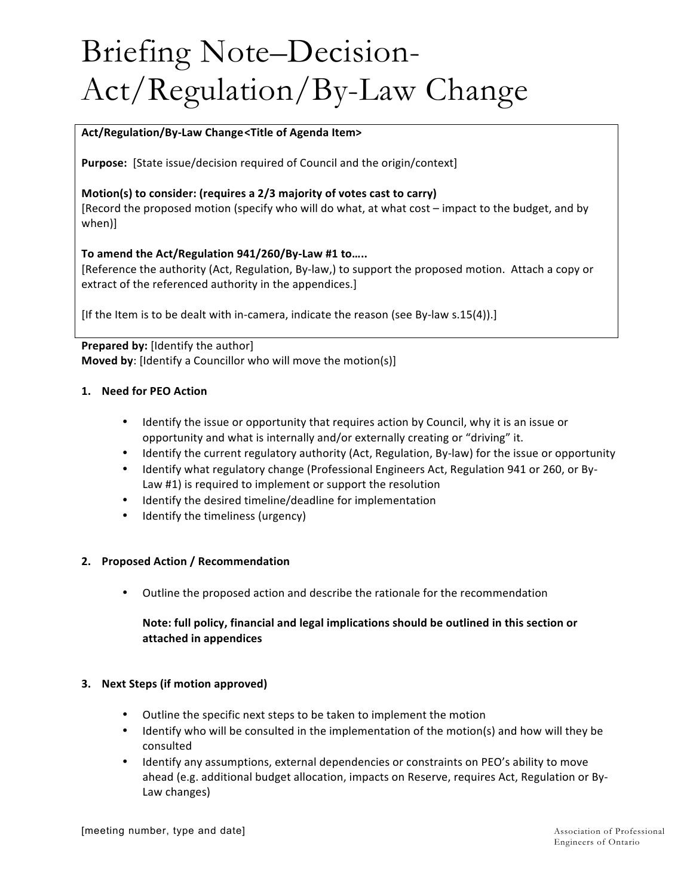# Briefing Note–Decision-Act/Regulation/By-Law Change

#### **Act/Regulation/By-Law Change<Title of Agenda Item>**

**Purpose:** [State issue/decision required of Council and the origin/context]

# **Motion(s)** to consider: (requires a 2/3 majority of votes cast to carry)

[Record the proposed motion (specify who will do what, at what cost – impact to the budget, and by when)]

#### To amend the Act/Regulation 941/260/By-Law #1 to.....

[Reference the authority (Act, Regulation, By-law,) to support the proposed motion. Attach a copy or extract of the referenced authority in the appendices.]

[If the Item is to be dealt with in-camera, indicate the reason (see By-law  $s.15(4)$ ).]

# **Prepared by:** [Identify the author] **Moved by:** [Identify a Councillor who will move the motion(s)]

#### **1. Need for PEO Action**

- Identify the issue or opportunity that requires action by Council, why it is an issue or opportunity and what is internally and/or externally creating or "driving" it.
- Identify the current regulatory authority (Act, Regulation, By-law) for the issue or opportunity
- Identify what regulatory change (Professional Engineers Act, Regulation 941 or 260, or By-Law #1) is required to implement or support the resolution
- Identify the desired timeline/deadline for implementation
- Identify the timeliness (urgency)

#### **2. Proposed Action / Recommendation**

• Outline the proposed action and describe the rationale for the recommendation

# Note: full policy, financial and legal implications should be outlined in this section or **attached in appendices**

#### **3. Next Steps (if motion approved)**

- Outline the specific next steps to be taken to implement the motion
- Identify who will be consulted in the implementation of the motion(s) and how will they be consulted
- Identify any assumptions, external dependencies or constraints on PEO's ability to move ahead (e.g. additional budget allocation, impacts on Reserve, requires Act, Regulation or By-Law changes)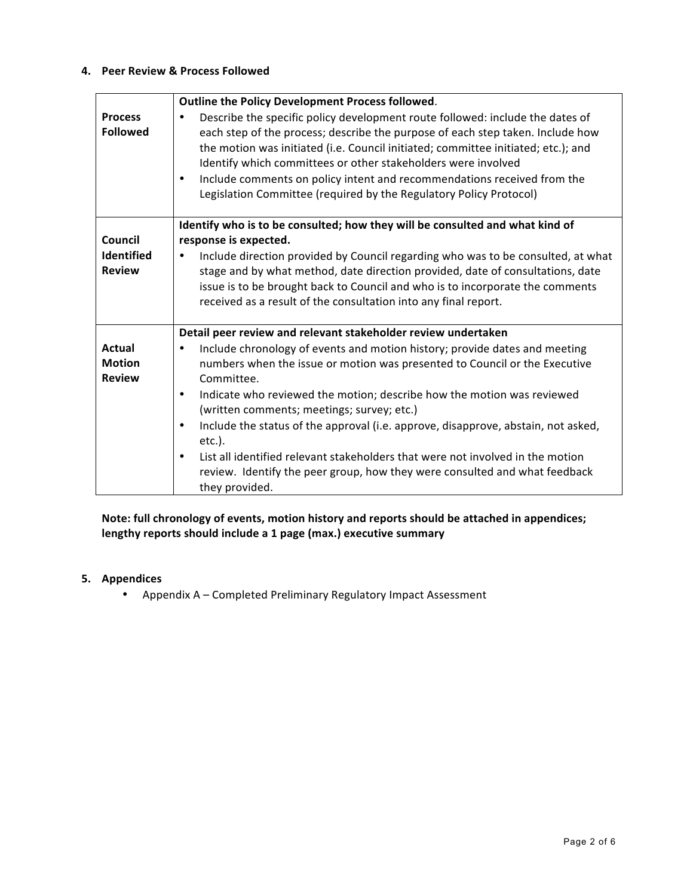#### **4. Peer Review & Process Followed**

|                                   | Outline the Policy Development Process followed.                                                                                                                                                                                                                                                                                                                                                                                                                                         |
|-----------------------------------|------------------------------------------------------------------------------------------------------------------------------------------------------------------------------------------------------------------------------------------------------------------------------------------------------------------------------------------------------------------------------------------------------------------------------------------------------------------------------------------|
| <b>Process</b><br><b>Followed</b> | Describe the specific policy development route followed: include the dates of<br>$\bullet$<br>each step of the process; describe the purpose of each step taken. Include how<br>the motion was initiated (i.e. Council initiated; committee initiated; etc.); and<br>Identify which committees or other stakeholders were involved<br>Include comments on policy intent and recommendations received from the<br>٠<br>Legislation Committee (required by the Regulatory Policy Protocol) |
| Council                           | Identify who is to be consulted; how they will be consulted and what kind of<br>response is expected.                                                                                                                                                                                                                                                                                                                                                                                    |
| <b>Identified</b>                 | Include direction provided by Council regarding who was to be consulted, at what<br>٠                                                                                                                                                                                                                                                                                                                                                                                                    |
| <b>Review</b>                     | stage and by what method, date direction provided, date of consultations, date                                                                                                                                                                                                                                                                                                                                                                                                           |
|                                   | issue is to be brought back to Council and who is to incorporate the comments                                                                                                                                                                                                                                                                                                                                                                                                            |
|                                   | received as a result of the consultation into any final report.                                                                                                                                                                                                                                                                                                                                                                                                                          |
|                                   |                                                                                                                                                                                                                                                                                                                                                                                                                                                                                          |
|                                   | Detail peer review and relevant stakeholder review undertaken                                                                                                                                                                                                                                                                                                                                                                                                                            |
| <b>Actual</b>                     | Include chronology of events and motion history; provide dates and meeting                                                                                                                                                                                                                                                                                                                                                                                                               |
| <b>Motion</b>                     | numbers when the issue or motion was presented to Council or the Executive                                                                                                                                                                                                                                                                                                                                                                                                               |
| <b>Review</b>                     | Committee.                                                                                                                                                                                                                                                                                                                                                                                                                                                                               |
|                                   | Indicate who reviewed the motion; describe how the motion was reviewed<br>$\bullet$<br>(written comments; meetings; survey; etc.)                                                                                                                                                                                                                                                                                                                                                        |
|                                   | Include the status of the approval (i.e. approve, disapprove, abstain, not asked,<br>$\bullet$<br>$etc.$ ).                                                                                                                                                                                                                                                                                                                                                                              |
|                                   | List all identified relevant stakeholders that were not involved in the motion<br>$\bullet$                                                                                                                                                                                                                                                                                                                                                                                              |
|                                   | review. Identify the peer group, how they were consulted and what feedback                                                                                                                                                                                                                                                                                                                                                                                                               |
|                                   | they provided.                                                                                                                                                                                                                                                                                                                                                                                                                                                                           |

# Note: full chronology of events, motion history and reports should be attached in appendices; lengthy reports should include a 1 page (max.) executive summary

# **5. Appendices**

• Appendix A - Completed Preliminary Regulatory Impact Assessment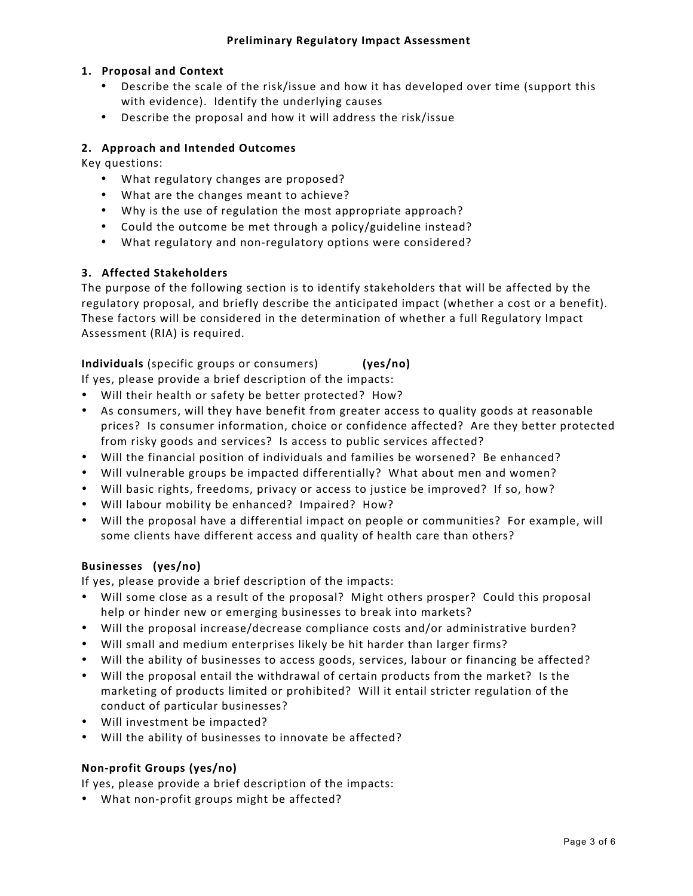# **1. Proposal and Context**

- Describe the scale of the risk/issue and how it has developed over time (support this with evidence). Identify the underlying causes
- Describe the proposal and how it will address the risk/issue

#### **2. Approach and Intended Outcomes**

Key questions:

- What regulatory changes are proposed?
- What are the changes meant to achieve?
- Why is the use of regulation the most appropriate approach?
- Could the outcome be met through a policy/guideline instead?
- What regulatory and non-regulatory options were considered?

#### **3. Affected Stakeholders**

The purpose of the following section is to identify stakeholders that will be affected by the regulatory proposal, and briefly describe the anticipated impact (whether a cost or a benefit). These factors will be considered in the determination of whether a full Regulatory Impact Assessment (RIA) is required.

**Individuals** (specific groups or consumers) (**yes/no)** 

If yes, please provide a brief description of the impacts:

- Will their health or safety be better protected? How?
- As consumers, will they have benefit from greater access to quality goods at reasonable prices? Is consumer information, choice or confidence affected? Are they better protected from risky goods and services? Is access to public services affected?
- Will the financial position of individuals and families be worsened? Be enhanced?
- Will vulnerable groups be impacted differentially? What about men and women?
- Will basic rights, freedoms, privacy or access to justice be improved? If so, how?
- Will labour mobility be enhanced? Impaired? How?
- Will the proposal have a differential impact on people or communities? For example, will some clients have different access and quality of health care than others?

#### Businesses (yes/no)

If yes, please provide a brief description of the impacts:

- Will some close as a result of the proposal? Might others prosper? Could this proposal help or hinder new or emerging businesses to break into markets?
- Will the proposal increase/decrease compliance costs and/or administrative burden?
- Will small and medium enterprises likely be hit harder than larger firms?
- Will the ability of businesses to access goods, services, labour or financing be affected?
- Will the proposal entail the withdrawal of certain products from the market? Is the marketing of products limited or prohibited? Will it entail stricter regulation of the conduct of particular businesses?
- Will investment be impacted?
- Will the ability of businesses to innovate be affected?

#### **Non-profit Groups (yes/no)**

If yes, please provide a brief description of the impacts:

• What non-profit groups might be affected?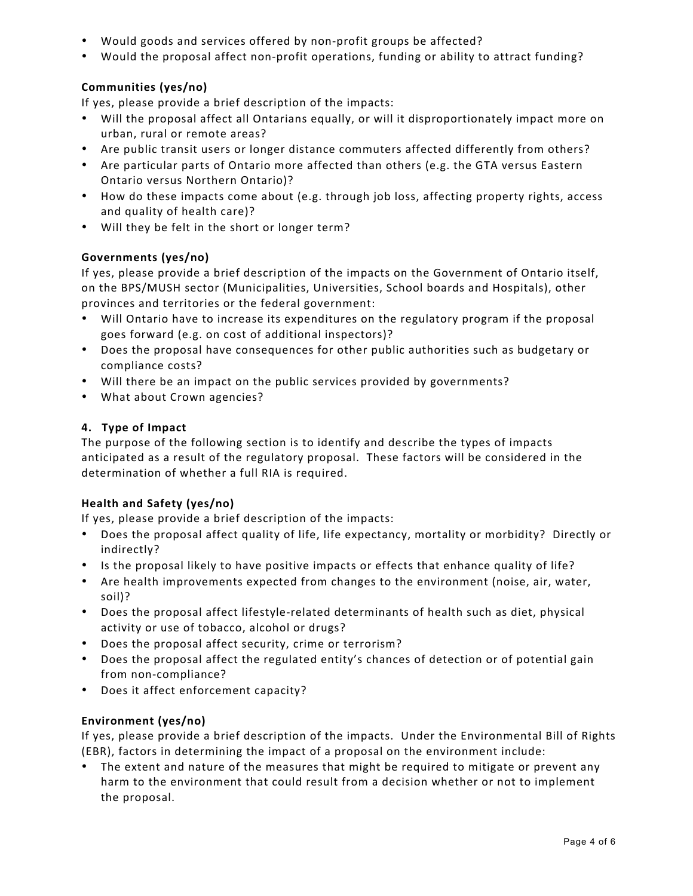- Would goods and services offered by non-profit groups be affected?
- Would the proposal affect non-profit operations, funding or ability to attract funding?

# **Communities (yes/no)**

If yes, please provide a brief description of the impacts:

- Will the proposal affect all Ontarians equally, or will it disproportionately impact more on urban, rural or remote areas?
- Are public transit users or longer distance commuters affected differently from others?
- Are particular parts of Ontario more affected than others (e.g. the GTA versus Eastern Ontario versus Northern Ontario)?
- How do these impacts come about (e.g. through job loss, affecting property rights, access and quality of health care)?
- Will they be felt in the short or longer term?

# **Governments (yes/no)**

If yes, please provide a brief description of the impacts on the Government of Ontario itself, on the BPS/MUSH sector (Municipalities, Universities, School boards and Hospitals), other provinces and territories or the federal government:

- Will Ontario have to increase its expenditures on the regulatory program if the proposal goes forward (e.g. on cost of additional inspectors)?
- Does the proposal have consequences for other public authorities such as budgetary or compliance costs?
- Will there be an impact on the public services provided by governments?
- What about Crown agencies?

# **4. Type of Impact**

The purpose of the following section is to identify and describe the types of impacts anticipated as a result of the regulatory proposal. These factors will be considered in the determination of whether a full RIA is required.

#### **Health and Safety (yes/no)**

If yes, please provide a brief description of the impacts:

- Does the proposal affect quality of life, life expectancy, mortality or morbidity? Directly or indirectly?
- Is the proposal likely to have positive impacts or effects that enhance quality of life?
- Are health improvements expected from changes to the environment (noise, air, water, soil)?
- Does the proposal affect lifestyle-related determinants of health such as diet, physical activity or use of tobacco, alcohol or drugs?
- Does the proposal affect security, crime or terrorism?
- Does the proposal affect the regulated entity's chances of detection or of potential gain from non-compliance?
- Does it affect enforcement capacity?

#### **Environment (yes/no)**

If yes, please provide a brief description of the impacts. Under the Environmental Bill of Rights (EBR), factors in determining the impact of a proposal on the environment include:

The extent and nature of the measures that might be required to mitigate or prevent any harm to the environment that could result from a decision whether or not to implement the proposal.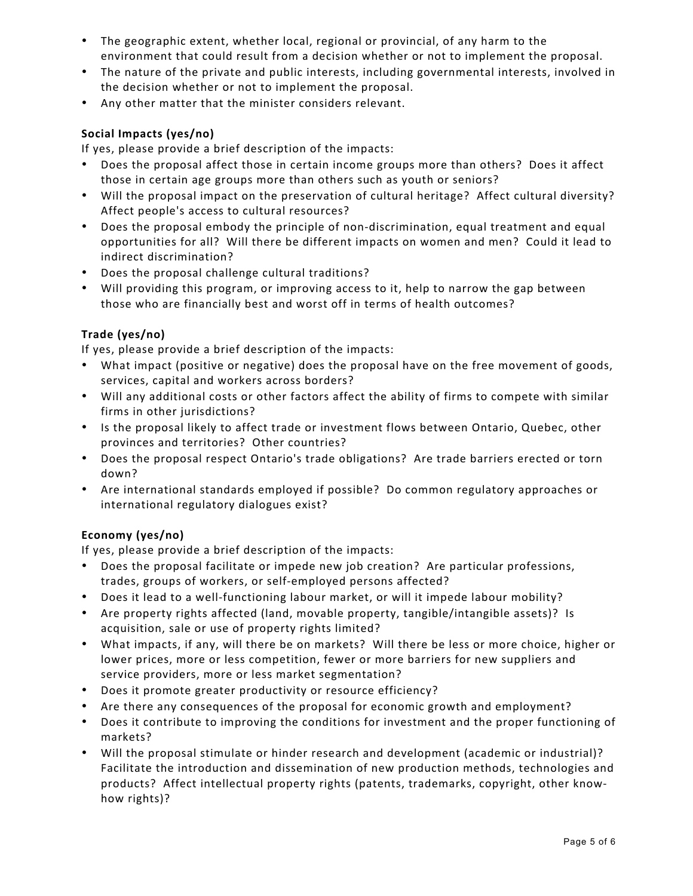- The geographic extent, whether local, regional or provincial, of any harm to the environment that could result from a decision whether or not to implement the proposal.
- The nature of the private and public interests, including governmental interests, involved in the decision whether or not to implement the proposal.
- Any other matter that the minister considers relevant.

# **Social Impacts (yes/no)**

If yes, please provide a brief description of the impacts:

- Does the proposal affect those in certain income groups more than others? Does it affect those in certain age groups more than others such as youth or seniors?
- Will the proposal impact on the preservation of cultural heritage? Affect cultural diversity? Affect people's access to cultural resources?
- Does the proposal embody the principle of non-discrimination, equal treatment and equal opportunities for all? Will there be different impacts on women and men? Could it lead to indirect discrimination?
- Does the proposal challenge cultural traditions?
- Will providing this program, or improving access to it, help to narrow the gap between those who are financially best and worst off in terms of health outcomes?

# **Trade (yes/no)**

If yes, please provide a brief description of the impacts:

- What impact (positive or negative) does the proposal have on the free movement of goods, services, capital and workers across borders?
- Will any additional costs or other factors affect the ability of firms to compete with similar firms in other jurisdictions?
- Is the proposal likely to affect trade or investment flows between Ontario, Quebec, other provinces and territories? Other countries?
- Does the proposal respect Ontario's trade obligations? Are trade barriers erected or torn down?
- Are international standards employed if possible? Do common regulatory approaches or international regulatory dialogues exist?

# **Economy (yes/no)**

If yes, please provide a brief description of the impacts:

- Does the proposal facilitate or impede new job creation? Are particular professions, trades, groups of workers, or self-employed persons affected?
- Does it lead to a well-functioning labour market, or will it impede labour mobility?
- Are property rights affected (land, movable property, tangible/intangible assets)? Is acquisition, sale or use of property rights limited?
- What impacts, if any, will there be on markets? Will there be less or more choice, higher or lower prices, more or less competition, fewer or more barriers for new suppliers and service providers, more or less market segmentation?
- Does it promote greater productivity or resource efficiency?
- Are there any consequences of the proposal for economic growth and employment?
- Does it contribute to improving the conditions for investment and the proper functioning of markets?
- Will the proposal stimulate or hinder research and development (academic or industrial)? Facilitate the introduction and dissemination of new production methods, technologies and products? Affect intellectual property rights (patents, trademarks, copyright, other knowhow rights)?